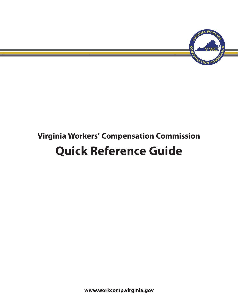

# **Virginia Workers' Compensation Commission Quick Reference Guide**

**www.workcomp.virginia.gov**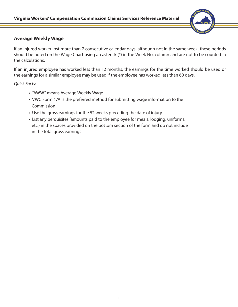

#### **Average Weekly Wage**

If an injured worker lost more than 7 consecutive calendar days, although not in the same week, these periods should be noted on the Wage Chart using an asterisk (\*) in the Week No. column and are not to be counted in the calculations.

If an injured employee has worked less than 12 months, the earnings for the time worked should be used or the earnings for a similar employee may be used if the employee has worked less than 60 days.

*Quick Facts:*

- "AWW" means Average Weekly Wage
- VWC Form #7A is the preferred method for submitting wage information to the Commission
- Use the gross earnings for the 52 weeks preceding the date of injury
- List any perquisites (amounts paid to the employee for meals, lodging, uniforms, etc.) in the spaces provided on the bottom section of the form and do not include in the total gross earnings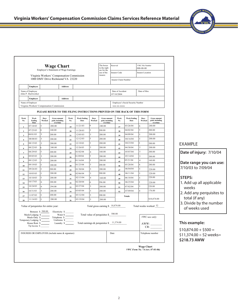| <b>Wage Chart</b><br>Employer's Statement of Wage Earnings<br>Virginia Workers' Compensation Commission<br>1000 DMV Drive Richmond VA 23220 |                                   |                |                                                    |             |  |                                                                          | The boxes<br>to the right<br>are for the<br>use of the<br>insurer. | Reserved<br><b>Insurer Code</b><br><b>Insurer Claim Number</b> |              | $000 - 00 - 00$ | VWC File Number<br><b>Insurer Location</b> |                |                                                    |
|---------------------------------------------------------------------------------------------------------------------------------------------|-----------------------------------|----------------|----------------------------------------------------|-------------|--|--------------------------------------------------------------------------|--------------------------------------------------------------------|----------------------------------------------------------------|--------------|-----------------|--------------------------------------------|----------------|----------------------------------------------------|
| <b>Employee</b><br><b>Address</b>                                                                                                           |                                   |                |                                                    |             |  |                                                                          |                                                                    |                                                                |              |                 |                                            |                |                                                    |
| Name of Employee<br>Date of Accident<br>John P. Hurtworker<br>07/10/2004                                                                    |                                   |                |                                                    |             |  |                                                                          |                                                                    |                                                                | Date of Hire |                 |                                            |                |                                                    |
|                                                                                                                                             | Employer                          | <b>Address</b> |                                                    |             |  |                                                                          |                                                                    |                                                                |              |                 |                                            |                |                                                    |
| Name of Employer<br>Virginia Workers' Compensation Commission                                                                               |                                   |                |                                                    |             |  |                                                                          | XXX-XX-XXXX                                                        | Employee's Social Security Number                              |              |                 |                                            |                |                                                    |
|                                                                                                                                             |                                   |                |                                                    |             |  | PLEASE REFER TO THE FILING INSTRUCTIONS PRINTED ON THE BACK OF THIS FORM |                                                                    |                                                                |              |                 |                                            |                |                                                    |
| Week<br>No.                                                                                                                                 | Week<br><b>Ending</b><br>Date     | Days<br>Worked | <b>Gross amount</b><br>paid, including<br>overtime | Week<br>No. |  | <b>Week Ending</b><br>Date                                               | Days<br>Worked                                                     | <b>Gross amount</b><br>paid, including<br>overtime             |              | Week<br>No.     | <b>Week Ending</b><br>Date                 | Days<br>Worked | <b>Gross amount</b><br>paid, including<br>overtime |
| $\mathbf{1}$                                                                                                                                | 07/18/03                          | 5              | 200.00                                             | 19          |  | 11/21/03                                                                 | 6                                                                  | 240.00                                                         |              | 37              | 03/26/04                                   | 6              | 240.00                                             |
| $\overline{2}$                                                                                                                              | 07/25/03                          | 6              | 240.00                                             | 20          |  | 11/28/03                                                                 | 5                                                                  | 200.00                                                         |              | 38              | 04/02/04                                   | 5              | 200.00                                             |
| $\mathbf{3}$                                                                                                                                | 08/01/03                          | 5              | 200.00                                             | 21          |  | 12/05/03                                                                 | 5                                                                  | 200.00                                                         |              | 39              | 04/09/04                                   | 5              | 200.00                                             |
| $\overline{4}$                                                                                                                              | 08/08/03                          | 5              | 200.00                                             | $\bf{22}$   |  | 12/12/03                                                                 | 5                                                                  | 200.00                                                         |              | 40              | 04/16/04                                   | 5              | 200.00                                             |
| 5                                                                                                                                           | 08/15/03                          | 5              | 200.00                                             | 23          |  | 12/19/03                                                                 | 5                                                                  | 200.00                                                         |              | 41              | 04/23/04                                   | 5              | 200.00                                             |
| 6                                                                                                                                           | 08/22/03                          | 6              | 240.00                                             | 24          |  | 12/26/03                                                                 | 5                                                                  | 200.00                                                         |              | 42              | 04/30/04                                   | 5              | 200.00                                             |
| $\overline{7}$                                                                                                                              | 08/29/03                          | 5              | 200.00                                             | 25          |  | 01/02/04                                                                 | 4                                                                  | 160.00                                                         |              | 43              | 05/07/04                                   | 5              | 200.00                                             |
| 8                                                                                                                                           | 09/05/03                          | 5              | 200.00                                             | 26          |  | 01/09/04                                                                 | 5                                                                  | 200.00                                                         |              | 44              | 05/14/04                                   | 5              | 200.00                                             |
| $\overline{9}$                                                                                                                              | 09/12/03                          | 5              | 200.00                                             | 27          |  | 01/16/04                                                                 | 5                                                                  | 200.00                                                         |              | 45              | 05/21/04                                   | 4              | 160.00                                             |
| 10                                                                                                                                          | 09/19/03                          | 5              | 200.00                                             | 28          |  | 01/23/04                                                                 | 5                                                                  | 200.00                                                         |              | 46              | 05/28/04                                   | 6              | 280.00                                             |
| 11                                                                                                                                          | 09/26/03                          | 5              | 200.00                                             | 29          |  | 01/30/04                                                                 | 5                                                                  | 200.00                                                         |              | 47              | 06/04/04                                   | 5              | 220.00                                             |
| 12                                                                                                                                          | 10/03/03                          | 5              | 200.00                                             | 30          |  | 02/06/04                                                                 | 5                                                                  | 200.00                                                         |              | 48              | 06/11/04                                   | 5              | 220.00                                             |
| 13                                                                                                                                          | 10/10/03                          | 5              | 200.00                                             | 31          |  | 02/13/04                                                                 | $\overline{4}$                                                     | 160.00                                                         |              | 49              | 06/18/04                                   | 5              | 220.00                                             |
| 14                                                                                                                                          | 10/17/03                          | 6              | 288.00                                             | 32          |  | 02/20/04                                                                 | 6                                                                  | 296.00                                                         |              | 50              | 06/25/04                                   | 5              | 220.00                                             |
| 15                                                                                                                                          | 10/24/03                          | 6              | 294.00                                             | 33          |  | 02/27/04                                                                 | 5                                                                  | 200.00                                                         |              | 51              | 07/02/04                                   | 5              | 220.00                                             |
| 16                                                                                                                                          | 10/31/03                          | 5              | 200.00                                             | 34          |  | 03/05/04                                                                 | 5                                                                  | 200.00                                                         |              | 52              | 07/09/04                                   | $\overline{4}$ | 176.00                                             |
| 17                                                                                                                                          | 11/07/03                          | 5              | 200.00                                             | 35          |  | 03/12/04                                                                 | 5                                                                  | 200.00                                                         |              |                 | <b>Totals</b>                              |                |                                                    |
| 18                                                                                                                                          | 11/14/03                          | 5              | 200.00                                             | 36          |  | 03/19/04                                                                 | 5                                                                  | 200.00                                                         |              |                 |                                            |                | \$10,874.00                                        |
| Total gross earning \$ 10,874.00<br>Total weeks worked 52<br>Value of perquisites for entire year:<br>Bonuses $$ 500.00$<br>Electricity \$  |                                   |                |                                                    |             |  |                                                                          |                                                                    |                                                                |              |                 |                                            |                |                                                    |
|                                                                                                                                             | Meals/Lodging \$<br>Meals Only \$ |                | Telephone \$                                       | Water \$    |  |                                                                          |                                                                    | Total value of perquisites \$ 500.00                           |              |                 |                                            |                | VWC use only:                                      |

#### **Date of injury:** 7/10/04

EXAMPLE

#### **Date range you can use:** 7/10/03 to 7/09/04

#### **STEPS:**

- 1. Add up all applicable weeks
- 2. Add any perquisites to total (if any)
- 3. Divide by the number of weeks used

#### **This example:**

 $$10,874.00 + $500 =$  $$11,374.00 \div 52$  weeks= **\$218.73 AWW**

INSURER OR EMPLOYER (include name & signature) Date Telephone number

| <b>Wage Chart</b>                      |
|----------------------------------------|
| <b>VWC Form No. 7A (rev. 07-01-06)</b> |

 $AWW:$ CR:





| porary Lodging \$<br>House Rent \$ | Uniforms \$<br>Laundry \$ | Total earnings & perquisites $\frac{11,374.00}{11,374.00}$ |  |
|------------------------------------|---------------------------|------------------------------------------------------------|--|
| Tip Income \$                      |                           |                                                            |  |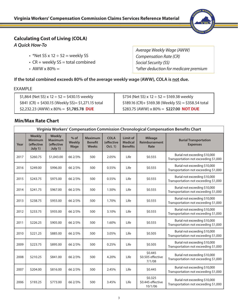

## **Calculating Cost of Living (COLA)**

*A Quick How-To*

- \*Net SS  $\times$  12  $\div$  52 = weekly SS
- $CR$  + weekly  $SS$  = total combined
- AWW  $\times$  80%  $=$

*Average Weekly Wage (AWW) Compensation Rate (CR) Social Security (SS) \*after deduction for medicare premium* 

#### **If the total combined exceeds 80% of the average weekly wage (AWW), COLA is not due.**

#### EXAMPLE

| \$1,864 (Net SS) x 12 $\div$ 52 = \$430.15 weekly     | \$734 (Net SS) x 12 $\div$ 52 = \$169.38 weekly        |
|-------------------------------------------------------|--------------------------------------------------------|
| $$841$ (CR) + \$430.15 (Weekly SS) = \$1,271.15 total | $$189.16$ (CR)+ $$169.38$ (Weekly SS) = \$358.54 total |
| \$2,232.23 (AWW) x 80% = \$1,785.78 DUE               | \$283.75 (AWW) x 80% = \$227.00 <b>NOT DUE</b>         |

#### **Min/Max Rate Chart**

| Virginia Workers' Compensation Commission Chronological Compensation Benefits Chart |                                                          |                                                          |                          |                                                  |                                      |                                               |                                         |                                                                       |  |
|-------------------------------------------------------------------------------------|----------------------------------------------------------|----------------------------------------------------------|--------------------------|--------------------------------------------------|--------------------------------------|-----------------------------------------------|-----------------------------------------|-----------------------------------------------------------------------|--|
| Year                                                                                | <b>Weekly</b><br><b>Minimum</b><br>(effective<br>July 1) | <b>Weekly</b><br><b>Maximum</b><br>(effective<br>July 1) | $%$ of<br>Weekly<br>Wage | <b>Maximum</b><br><b>Benefit</b><br><b>Weeks</b> | <b>COLA</b><br>(effective<br>Oct. 1) | Limit of<br><b>Medical</b><br><b>Benefits</b> | <b>Mileage</b><br>Reimbursement<br>Rate | <b>Burial Transportation</b><br><b>Expenses</b>                       |  |
| 2017                                                                                | \$260.75                                                 | \$1,043.00                                               | 66 2/3%                  | 500                                              | 2.05%                                | Life                                          | \$0.555                                 | Burial not exceeding \$10,000<br>Transportation not exceeding \$1,000 |  |
| 2016                                                                                | \$249.00                                                 | \$996.00                                                 | 66 2/3%                  | 500                                              | 0.55%                                | Life                                          | \$0.555                                 | Burial not exceeding \$10,000<br>Transportation not exceeding \$1,000 |  |
| 2015                                                                                | \$243.75                                                 | \$975.00                                                 | 66 2/3%                  | 500                                              | 0.55%                                | Life                                          | \$0.555                                 | Burial not exceeding \$10,000<br>Transportation not exceeding \$1,000 |  |
| 2014                                                                                | \$241.75                                                 | \$967.00                                                 | 66 2/3%                  | 500                                              | 1.50%                                | Life                                          | \$0.555                                 | Burial not exceeding \$10,000<br>Transportation not exceeding \$1,000 |  |
| 2013                                                                                | \$238.75                                                 | \$955.00                                                 | 66 2/3%                  | 500                                              | 1.70%                                | Life                                          | \$0.555                                 | Burial not exceeding \$10,000<br>Transportation not exceeding \$1,000 |  |
| 2012                                                                                | \$233.75                                                 | \$935.00                                                 | 66 2/3%                  | 500                                              | 3.10%                                | Life                                          | \$0.555                                 | Burial not exceeding \$10,000<br>Transportation not exceeding \$1,000 |  |
| 2011                                                                                | \$226.25                                                 | \$905.00                                                 | 66 2/3%                  | 500                                              | 1.60%                                | Life                                          | \$0.555                                 | Burial not exceeding \$10,000<br>Transportation not exceeding \$1,000 |  |
| 2010                                                                                | \$221.25                                                 | \$885.00                                                 | 66 2/3%                  | 500                                              | 3.05%                                | Life                                          | \$0.505                                 | Burial not exceeding \$10,000<br>Transportation not exceeding \$1,000 |  |
| 2009                                                                                | \$223.75                                                 | \$895.00                                                 | 66 2/3%                  | 500                                              | 0.25%                                | Life                                          | \$0.505                                 | Burial not exceeding \$10,000<br>Transportation not exceeding \$1,000 |  |
| 2008                                                                                | \$210.25                                                 | \$841.00                                                 | 66 2/3%                  | 500                                              | 4.20%                                | Life                                          | \$0.445<br>\$0.505 effective<br>7/1/08  | Burial not exceeding \$10,000<br>Transportation not exceeding \$1,000 |  |
| 2007                                                                                | \$204.00                                                 | \$816.00                                                 | 66 2/3%                  | 500                                              | 2.45%                                | Life                                          | \$0.445                                 | Burial not exceeding \$10,000<br>Transportation not exceeding \$1,000 |  |
| 2006                                                                                | \$193.25                                                 | \$773.00                                                 | 66 2/3%                  | 500                                              | 3.45%                                | Life                                          | \$0.325<br>\$0.445 effective<br>10/1/06 | Burial not exceeding \$10,000<br>Transportation not exceeding \$1,000 |  |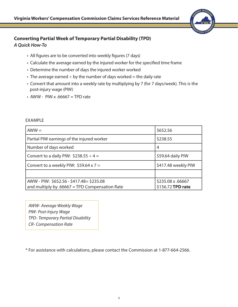

#### **Converting Partial Week of Temporary Partial Disability (TPD)** *A Quick How-To*

- All figures are to be converted into weekly figures (7 days)
- Calculate the average earned by the injured worker for the specified time frame
- Determine the number of days the injured worker worked
- The average earned  $\div$  by the number of days worked = the daily rate
- Convert that amount into a weekly rate by multiplying by 7 (for 7 days/week). This is the post-injury wage (PIW)
- AWW PIW x  $.66667$  = TPD rate

| $AWW =$                                          | \$652.56            |
|--------------------------------------------------|---------------------|
| Partial PIW earnings of the injured worker       | \$238.55            |
| Number of days worked                            | 4                   |
| Convert to a daily PIW: $$238.55 \div 4 =$       | \$59.64 daily PIW   |
| Convert to a weekly PIW: $$59.64 \times 7 =$     | \$417.48 weekly PIW |
|                                                  |                     |
| AWW - PIW: \$652.56 - \$417.48 = \$235.08        | \$235.08 x .66667   |
| and multiply by $.66667$ = TPD Compensation Rate | \$156.72 TPD rate   |

#### EXAMPLE

*AWW- Average Weekly Wage PIW- Post-Injury Wage TPD- Temporary Partial Disability CR- Compensation Rate*

\* For assistance with calculations, please contact the Commission at 1-877-664-2566.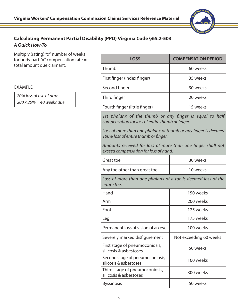

### **Calculating Permanent Partial Disability (PPD) Virginia Code §65.2-503** *A Quick How-To*

Multiply (rating) "x" number of weeks for body part "x" compensation rate  $=$ total amount due claimant.

EXAMPLE

*20% loss of use of arm: 200 x 20% = 40 weeks due*

| <b>LOSS</b>                                                                                                 | <b>COMPENSATION PERIOD</b> |  |  |  |  |  |  |
|-------------------------------------------------------------------------------------------------------------|----------------------------|--|--|--|--|--|--|
| Thumb                                                                                                       | 60 weeks                   |  |  |  |  |  |  |
| First finger (index finger)                                                                                 | 35 weeks                   |  |  |  |  |  |  |
| Second finger                                                                                               | 30 weeks                   |  |  |  |  |  |  |
| Third finger                                                                                                | 20 weeks                   |  |  |  |  |  |  |
| Fourth finger (little finger)                                                                               | 15 weeks                   |  |  |  |  |  |  |
| 1st phalanx of the thumb or any finger is equal to half<br>compensation for loss of entire thumb or finger. |                            |  |  |  |  |  |  |
| Loss of more than one phalanx of thumb or any finger is deemed<br>100% loss of entire thumb or finger.      |                            |  |  |  |  |  |  |
| Amounts received for loss of more than one finger shall not<br>exceed compensation for loss of hand.        |                            |  |  |  |  |  |  |
| Great toe                                                                                                   | 30 weeks                   |  |  |  |  |  |  |
| Any toe other than great toe                                                                                | 10 weeks                   |  |  |  |  |  |  |
| Loss of more than one phalanx of a toe is deemed loss of the<br>entire toe.                                 |                            |  |  |  |  |  |  |
| Hand                                                                                                        | 150 weeks                  |  |  |  |  |  |  |
| Arm                                                                                                         | 200 weeks                  |  |  |  |  |  |  |
| Foot                                                                                                        | 125 weeks                  |  |  |  |  |  |  |
| Leg                                                                                                         | 175 weeks                  |  |  |  |  |  |  |
| Permanent loss of vision of an eye                                                                          | 100 weeks                  |  |  |  |  |  |  |
| Severely marked disfigurement                                                                               | Not exceeding 60 weeks     |  |  |  |  |  |  |
| First stage of pneumoconiosis,<br>silicosis & asbestoses                                                    | 50 weeks                   |  |  |  |  |  |  |
| Second stage of pneumoconiosis,<br>silicosis & asbestoses                                                   | 100 weeks                  |  |  |  |  |  |  |
| Third stage of pneumoconiosis,<br>silicosis & asbestoses                                                    | 300 weeks                  |  |  |  |  |  |  |
| <b>Byssinosis</b>                                                                                           | 50 weeks                   |  |  |  |  |  |  |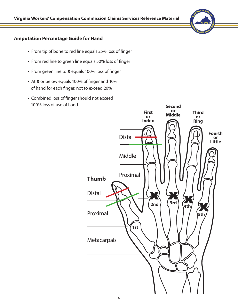#### **Amputation Percentage Guide for Hand**

- From tip of bone to red line equals 25% loss of finger
- From red line to green line equals 50% loss of finger
- From green line to **X** equals 100% loss of finger
- At **X** or below equals 100% of finger and 10% of hand for each finger, not to exceed 20%
- Combined loss of finger should not exceed 100% loss of use of hand

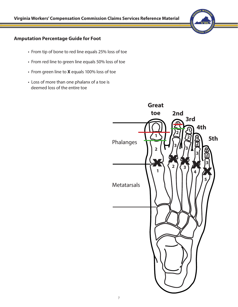#### **Amputation Percentage Guide for Foot**

- From tip of bone to red line equals 25% loss of toe
- From red line to green line equals 50% loss of toe
- From green line to **X** equals 100% loss of toe
- Loss of more than one phalanx of a toe is deemed loss of the entire toe

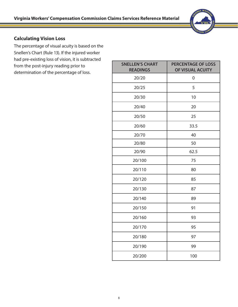

### **Calculating Vision Loss**

The percentage of visual acuity is based on the Snellen's Chart (Rule 13). If the injured worker had pre-existing loss of vision, it is subtracted from the post-injury reading prior to determination of the percentage of loss.

| <b>SNELLEN'S CHART</b><br><b>READINGS</b> | <b>PERCENTAGE OF LOSS</b><br>OF VISUAL ACUITY |
|-------------------------------------------|-----------------------------------------------|
| 20/20                                     | $\boldsymbol{0}$                              |
| 20/25                                     | 5                                             |
| 20/30                                     | 10                                            |
| 20/40                                     | 20                                            |
| 20/50                                     | 25                                            |
| 20/60                                     | 33.5                                          |
| 20/70                                     | 40                                            |
| 20/80                                     | 50                                            |
| 20/90                                     | 62.5                                          |
| 20/100                                    | 75                                            |
| 20/110                                    | 80                                            |
| 20/120                                    | 85                                            |
| 20/130                                    | 87                                            |
| 20/140                                    | 89                                            |
| 20/150                                    | 91                                            |
| 20/160                                    | 93                                            |
| 20/170                                    | 95                                            |
| 20/180                                    | 97                                            |
| 20/190                                    | 99                                            |
| 20/200                                    | 100                                           |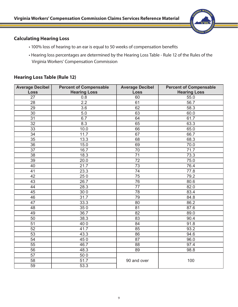

#### **Calculating Hearing Loss**

- 100% loss of hearing to an ear is equal to 50 weeks of compensation benefits
- Hearing loss percentages are determined by the Hearing Loss Table Rule 12 of the Rules of the Virginia Workers' Compensation Commission

#### **Hearing Loss Table (Rule 12)**

| <b>Average Decibel</b> | <b>Percent of Compensable</b> | <b>Average Decibel</b> | <b>Percent of Compensable</b> |
|------------------------|-------------------------------|------------------------|-------------------------------|
| <b>Loss</b>            | <b>Hearing Loss</b>           | <b>Loss</b>            | <b>Hearing Loss</b>           |
| 27                     | 0.8                           | 60                     | 55.0                          |
| 28                     | 2.2                           | 61                     | 56.7                          |
| 29                     | 3.6                           | 62                     | 58.3                          |
| 30                     | 5.0                           | 63                     | 60.0                          |
| 31                     | 6.7                           | 64                     | 61.7                          |
| $\overline{32}$        | 8.3                           | 65                     | 63.3                          |
| $\overline{33}$        | 10.0                          | 66                     | 65.0                          |
| 34                     | 11.7                          | 67                     | 66.7                          |
| 35                     | 13.3                          | 68                     | 68.3                          |
| 36                     | 15.0                          | 69                     | 70.0                          |
| $\overline{37}$        | 16.7                          | $\overline{70}$        | 71.7                          |
| 38                     | 18.3                          | $\overline{71}$        | 73.3                          |
| $\overline{39}$        | 20.0                          | $\overline{72}$        | 75.0                          |
| 40                     | 21.7                          | $\overline{73}$        | 76.4                          |
| 41                     | 23.3                          | 74                     | 77.8                          |
| 42                     | 250                           | 75                     | 79.2                          |
| 43                     | 26.7                          | 76                     | 80.6                          |
| 44                     | 28.3                          | 77                     | 82.0                          |
| 45                     | 300                           | 78                     | 83.4                          |
| 46                     | 31.7                          | 79                     | 84.8                          |
| $\overline{47}$        | 33.3                          | 80                     | 86.2                          |
| 48                     | 350                           | $\overline{81}$        | 87.6                          |
| 49                     | 36.7                          | 82                     | 89.0                          |
| 50                     | 38.3                          | 83                     | 90.4                          |
| $\overline{51}$        | 400                           | 84                     | 91.8                          |
| $\overline{52}$        | 41.7                          | 85                     | 93.2                          |
| $\overline{53}$        | 43.3                          | 86                     | 94.6                          |
| $\overline{54}$        | 450                           | 87                     | 96.0                          |
| $\overline{55}$        | 46.7                          | 88                     | 97.4                          |
| 56                     | 48.3                          | 89                     | 98.8                          |
| $\overline{57}$        | 500                           |                        |                               |
| 58                     | 51.7                          | 90 and over            | 100                           |
| 59                     | 53.3                          |                        |                               |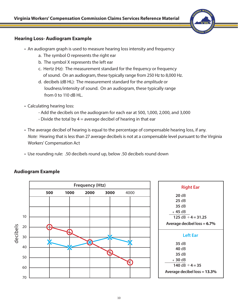

#### **Hearing Loss- Audiogram Example**

- An audiogram graph is used to measure hearing loss intensity and frequency
	- a. The symbol O represents the right ear
	- b. The symbol X represents the left ear
	- c. Hertz (Hz): The measurement standard for the *frequency* or frequency of sound. On an audiogram, these typically range from 250 Hz to 8,000 Hz.
	- d. decibels (dB HL): The measurement standard for the *amplitude* or loudness/intensity of sound. On an audiogram, these typically range from 0 to 110 dB HL.
- Calculating hearing loss:
	- Add the decibels on the audiogram for each ear at 500, 1,000, 2,000, and 3,000
	- Divide the total by  $4 =$  average decibel of hearing in that ear
- The average decibel of hearing is equal to the percentage of compensable hearing loss, if any. *Note:* Hearing that is less than 27 average decibels is not at a compensable level pursuant to the Virginia Workers' Compensation Act
- Use rounding rule: .50 decibels round up, below .50 decibels round down



#### **Audiogram Example**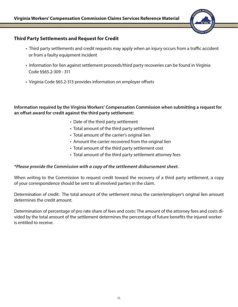

#### **Third Party Settlements and Request for Credit**

- Third party settlements and credit requests may apply when an injury occurs from a traffic accident or from a faulty equipment incident
- Information for lien against settlement proceeds/third party recoveries can be found in Virginia Code §§65.2-309 - 311
- Virginia Code §65.2-313 provides information on employer offsets

**Information required by the Virginia Workers' Compensation Commission when submitting a request for an offset award for credit against the third party settlement:**

- Date of the third party settlement
- Total amount of the third party settlement
- Total amount of the carrier's original lien
- Amount the carrier recovered from the original lien
- Total amount of the third party settlement cost
- Total amount of the third party settlement attorney fees

#### *\*Please provide the Commission with a copy of the settlement disbursement sheet.*

When writing to the Commission to request credit toward the recovery of a third party settlement, a copy of your correspondence should be sent to all involved parties in the claim.

Determination of credit: The total amount of the settlement minus the carrier/employer's original lien amount determines the credit amount.

Determination of percentage of pro rate share of fees and costs: The amount of the attorney fees and costs divided by the total amount of the settlement determines the percentage of future benefits the injured worker is entitled to receive.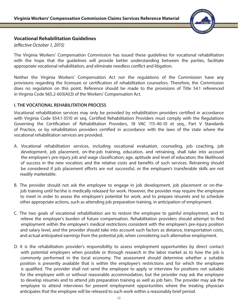

#### **Vocational Rehabilitation Guidelines**

*(effective October 1, 2015)*

The Virginia Workers' Compensation Commission has issued these guidelines for vocational rehabilitation with the hope that the quidelines will provide better understanding between the parties, facilitate appropriate vocational rehabilitation, and eliminate needless conflict and litigation.

Neither the Virginia Workers' Compensation Act nor the regulations of the Commission have any provisions regarding the licensure or certification of rehabilitation counselors. Therefore, the Commission does no regulation on this point. Reference should be made to the provisions of Title 54.1 referenced in Virginia Code §65.2-603(A)(3) of the Workers' Compensation Act.

#### **I. THE VOCATIONAL REHABILITATION PROCESS**

Vocational rehabilitation services may only be provided by rehabilitation providers certified in accordance with Virginia Code §54.1-3510 et seq. Certified Rehabilitation Providers must comply with the Regulations Governing the Certification of Rehabilitation Providers, 18 VAC 115-40-10 et seq., Part V Standards of Practice, or by rehabilitation providers certified in accordance with the laws of the state where the vocational rehabilitation services are provided.

- A. Vocational rehabilitation services, including vocational evaluation, counseling, job coaching, job development, job placement, on-the-job training, education, and retraining, shall take into account the employee's pre-injury job and wage classification; age, aptitude and level of education; the likelihood of success in the new vocation; and the relative costs and benefits of such services. Retraining should be considered if job placement efforts are not successful, or the employee's transferable skills are not readily marketable.
- B. The provider should not ask the employee to engage in job development, job placement or on-the job training until he/she is medically released for work. However, the provider may require the employee to meet in order to assess the employee's potential for work, and to prepare résumés and to schedule other appropriate actions, such as attending job preparation training, in anticipation of employment.
- C. The two goals of vocational rehabilitation are to restore the employee to gainful employment, and to relieve the employer's burden of future compensation. Rehabilitation providers should attempt to find employment within the employee's medical restrictions consistent with the employee's pre-injury position and salary level, and the provider should take into account such factors as distance, transportation costs, and actual anticipated earnings from the potential job, when considering such alternative employment.
- D. It is the rehabilitation provider's responsibility to assess employment opportunities by direct contact with potential employers when possible or through research in the labor market as to how the job is commonly performed in the local economy. The assessment should determine whether a suitable position is presently available that is within the employee's restrictions and for which the employee is qualified. The provider shall not send the employee to apply or interview for positions not suitable for the employee with or without reasonable accommodation, but the provider may ask the employee to develop résumés and to attend job preparation training as well as job fairs. The provider may ask the employee to attend interviews for present employment opportunities where the treating physician anticipates that the employee will be released to such work within a reasonably brief period.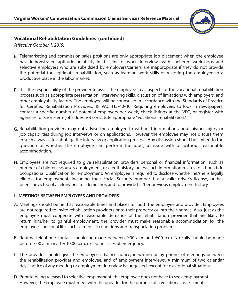

#### **Vocational Rehabilitation Guidelines (continued)**

*(effective October 1, 2015)*

- E. Telemarketing and commission sales positions are only appropriate job placement when the employee has demonstrated aptitude or ability in this line of work. Interviews with sheltered workshops and selective employers who are subsidized by employers/carriers are inappropriate if they do not provide the potential for legitimate rehabilitation, such as learning work skills or restoring the employee to a productive place in the labor market.
- F. It is the responsibility of the provider to assist the employee in all aspects of the vocational rehabilitation process such as appropriate presentation, interviewing skills, discussion of limitations with employers, and other employability factors. The employee will be counseled in accordance with the Standards of Practice for Certified Rehabilitation Providers, 18 VAC 115-40-40. Requiring employees to look in newspapers, contact a specific number of potential employers per week, check listings at the VEC, or register with agencies for short-term jobs does not constitute appropriate "vocational rehabilitation."
- G. Rehabilitation providers may not advise the employee to withhold information about his/her injury or job capabilities during job interviews or on applications. However the employee may not discuss them in such a way as to sabotage the interview or application process. Any discussion should be limited to the question of whether the employee can perform the job(s) at issue with or without reasonable accommodation.
- Employees are not required to give rehabilitation providers personal or financial information, such as H. number of children, spouse's employment, or credit history, unless such information relates to a bona fide occupational qualification for employment. An employee is required to disclose whether he/she is legally eligible for employment, including their Social Security number, has a valid driver's license, or has been convicted of a felony or a misdemeanor, and to provide his/her previous employment history.

#### **II. MEETINGS BETWEEN EMPLOYEES AND PROVIDERS**

- Meetings should be held at reasonable times and places for both the employee and provider. Employees A. are not required to invite rehabilitation providers onto their property or into their homes. Also, just as the employee must cooperate with reasonable demands of the rehabilitation provider that are likely to return him/her to gainful employment, the provider must make reasonable accommodation for the employee's personal life, such as medical conditions and transportation problems.
- B. Routine telephone contact should be made between 9:00 a.m. and 6:00 p.m. No calls should be made before 7:00 a.m. or after 10:00 p.m. except in cases of emergency.
- C. The provider should give the employee advance notice, in writing or by phone, of meetings between the rehabilitation provider and employee, and of employment interviews. A minimum of two calendar days' notice of any meeting or employment interview is suggested, except for exceptional situations.
- D. Prior to being released to selective employment, the employee does not have to seek employment. However, the employee must meet with the provider for the purpose of a vocational assessment.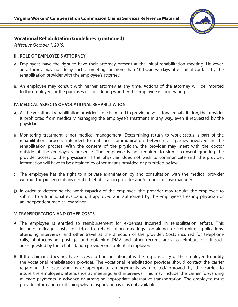

#### **Vocational Rehabilitation Guidelines (continued)**

*(effective October 1, 2015)*

#### **III. ROLE OF EMPLOYEE'S ATTORNEY**

- A. Employees have the right to have their attorney present at the initial rehabilitation meeting. However, an attorney may not delay such a meeting for more than 10 business days after initial contact by the rehabilitation provider with the employee's attorney.
- B. An employee may consult with his/her attorney at any time. Actions of the attorney will be imputed to the employee for the purposes of considering whether the employee is cooperating.

#### **IV. MEDICAL ASPECTS OF VOCATIONAL REHABILITATION**

- A. As the vocational rehabilitation provider's role is limited to providing vocational rehabilitation, the provider is prohibited from medically managing the employee's treatment in any way, even if requested by the physician.
- Monitoring treatment is not medical management. Determining return to work status is part of the B. rehabilitation process intended to enhance communication between all parties involved in the rehabilitation process. With the consent of the physician, the provider may meet with the doctor outside of the employee's presence. The employee is not required to sign a consent granting the provider access to the physicians. If the physician does not wish to communicate with the provider, information will have to be obtained by other means provided or permitted by law.
- C. The employee has the right to a private examination by and consultation with the medical provider without the presence of any certified rehabilitation provider and/or nurse or case manager.
- D. In order to determine the work capacity of the employee, the provider may require the employee to submit to a functional evaluation, if approved and authorized by the employee's treating physician or an independent medical examiner.

#### **V. TRANSPORTATION AND OTHER COSTS**

- A. The employee is entitled to reimbursement for expenses incurred in rehabilitation efforts. This includes mileage costs for trips to rehabilitation meetings, obtaining or returning applications, attending interviews, and other travel at the direction of the provider. Costs incurred for telephone calls, photocopying, postage, and obtaining DMV and other records are also reimbursable, if such are requested by the rehabilitation provider or a potential employer.
- B. If the claimant does not have access to transportation, it is the responsibility of the employee to notify the vocational rehabilitation provider. The vocational rehabilitation provider should contact the carrier regarding the issue and make appropriate arrangements as directed/approved by the carrier to insure the employee's attendance at meetings and interviews. This may include the carrier forwarding mileage payments in advance or arranging appropriate alternative transportation. The employee must provide information explaining why transportation is or is not available.